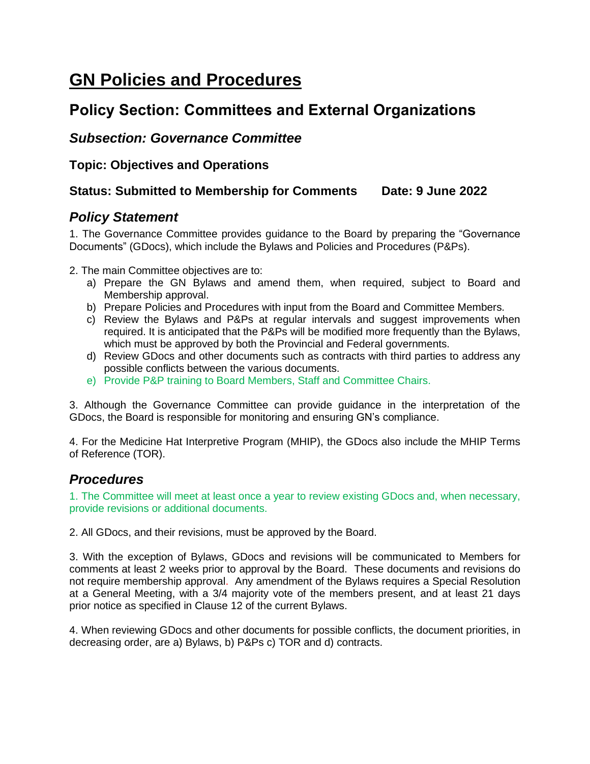# **GN Policies and Procedures**

# **Policy Section: Committees and External Organizations**

## *Subsection: Governance Committee*

**Topic: Objectives and Operations**

#### **Status: Submitted to Membership for Comments Date: 9 June 2022**

## *Policy Statement*

1. The Governance Committee provides guidance to the Board by preparing the "Governance Documents" (GDocs), which include the Bylaws and Policies and Procedures (P&Ps).

2. The main Committee objectives are to:

- a) Prepare the GN Bylaws and amend them, when required, subject to Board and Membership approval.
- b) Prepare Policies and Procedures with input from the Board and Committee Members.
- c) Review the Bylaws and P&Ps at regular intervals and suggest improvements when required. It is anticipated that the P&Ps will be modified more frequently than the Bylaws, which must be approved by both the Provincial and Federal governments.
- d) Review GDocs and other documents such as contracts with third parties to address any possible conflicts between the various documents.
- e) Provide P&P training to Board Members, Staff and Committee Chairs.

3. Although the Governance Committee can provide guidance in the interpretation of the GDocs, the Board is responsible for monitoring and ensuring GN's compliance.

4. For the Medicine Hat Interpretive Program (MHIP), the GDocs also include the MHIP Terms of Reference (TOR).

#### *Procedures*

1. The Committee will meet at least once a year to review existing GDocs and, when necessary, provide revisions or additional documents.

2. All GDocs, and their revisions, must be approved by the Board.

3. With the exception of Bylaws, GDocs and revisions will be communicated to Members for comments at least 2 weeks prior to approval by the Board. These documents and revisions do not require membership approval. Any amendment of the Bylaws requires a Special Resolution at a General Meeting, with a 3/4 majority vote of the members present, and at least 21 days prior notice as specified in Clause 12 of the current Bylaws.

4. When reviewing GDocs and other documents for possible conflicts, the document priorities, in decreasing order, are a) Bylaws, b) P&Ps c) TOR and d) contracts.